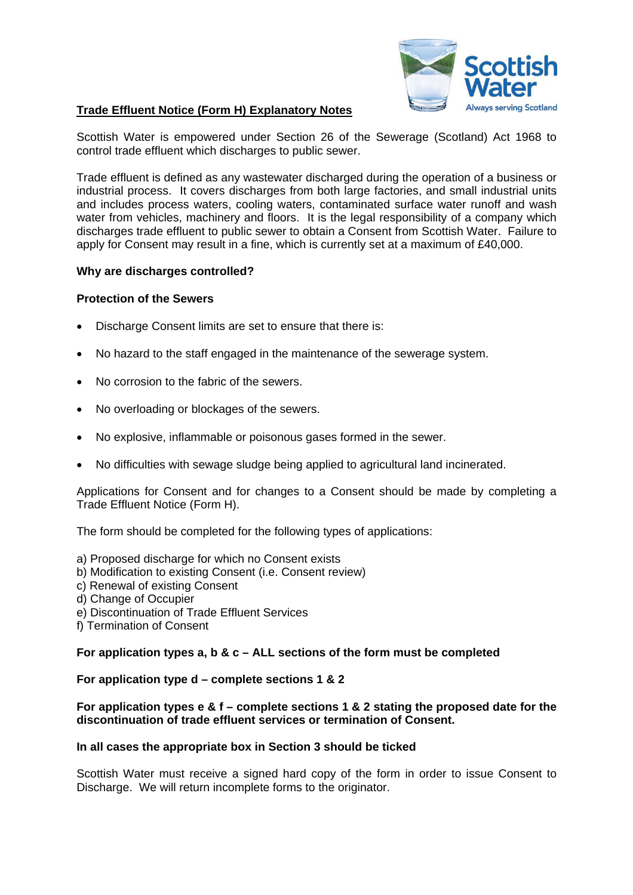

# **Trade Effluent Notice (Form H) Explanatory Notes**

Scottish Water is empowered under Section 26 of the Sewerage (Scotland) Act 1968 to control trade effluent which discharges to public sewer.

Trade effluent is defined as any wastewater discharged during the operation of a business or industrial process. It covers discharges from both large factories, and small industrial units and includes process waters, cooling waters, contaminated surface water runoff and wash water from vehicles, machinery and floors. It is the legal responsibility of a company which discharges trade effluent to public sewer to obtain a Consent from Scottish Water. Failure to apply for Consent may result in a fine, which is currently set at a maximum of £40,000.

## **Why are discharges controlled?**

## **Protection of the Sewers**

- Discharge Consent limits are set to ensure that there is:
- No hazard to the staff engaged in the maintenance of the sewerage system.
- No corrosion to the fabric of the sewers.
- No overloading or blockages of the sewers.
- No explosive, inflammable or poisonous gases formed in the sewer.
- No difficulties with sewage sludge being applied to agricultural land incinerated.

Applications for Consent and for changes to a Consent should be made by completing a Trade Effluent Notice (Form H).

The form should be completed for the following types of applications:

- a) Proposed discharge for which no Consent exists
- b) Modification to existing Consent (i.e. Consent review)
- c) Renewal of existing Consent
- d) Change of Occupier
- e) Discontinuation of Trade Effluent Services
- f) Termination of Consent

### **For application types a, b & c – ALL sections of the form must be completed**

## **For application type d – complete sections 1 & 2**

### **For application types e & f – complete sections 1 & 2 stating the proposed date for the discontinuation of trade effluent services or termination of Consent.**

#### **In all cases the appropriate box in Section 3 should be ticked**

Scottish Water must receive a signed hard copy of the form in order to issue Consent to Discharge. We will return incomplete forms to the originator.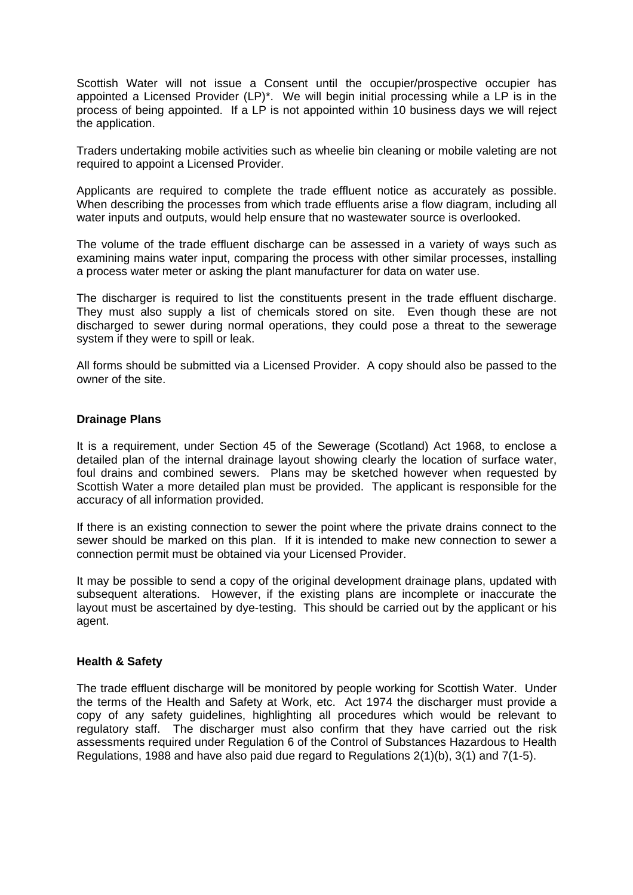Scottish Water will not issue a Consent until the occupier/prospective occupier has appointed a Licensed Provider (LP)\*. We will begin initial processing while a LP is in the process of being appointed. If a LP is not appointed within 10 business days we will reject the application.

Traders undertaking mobile activities such as wheelie bin cleaning or mobile valeting are not required to appoint a Licensed Provider.

Applicants are required to complete the trade effluent notice as accurately as possible. When describing the processes from which trade effluents arise a flow diagram, including all water inputs and outputs, would help ensure that no wastewater source is overlooked.

The volume of the trade effluent discharge can be assessed in a variety of ways such as examining mains water input, comparing the process with other similar processes, installing a process water meter or asking the plant manufacturer for data on water use.

The discharger is required to list the constituents present in the trade effluent discharge. They must also supply a list of chemicals stored on site. Even though these are not discharged to sewer during normal operations, they could pose a threat to the sewerage system if they were to spill or leak.

All forms should be submitted via a Licensed Provider. A copy should also be passed to the owner of the site.

#### **Drainage Plans**

It is a requirement, under Section 45 of the Sewerage (Scotland) Act 1968, to enclose a detailed plan of the internal drainage layout showing clearly the location of surface water, foul drains and combined sewers. Plans may be sketched however when requested by Scottish Water a more detailed plan must be provided. The applicant is responsible for the accuracy of all information provided.

If there is an existing connection to sewer the point where the private drains connect to the sewer should be marked on this plan. If it is intended to make new connection to sewer a connection permit must be obtained via your Licensed Provider.

It may be possible to send a copy of the original development drainage plans, updated with subsequent alterations. However, if the existing plans are incomplete or inaccurate the layout must be ascertained by dye-testing. This should be carried out by the applicant or his agent.

#### **Health & Safety**

The trade effluent discharge will be monitored by people working for Scottish Water. Under the terms of the Health and Safety at Work, etc. Act 1974 the discharger must provide a copy of any safety guidelines, highlighting all procedures which would be relevant to regulatory staff. The discharger must also confirm that they have carried out the risk assessments required under Regulation 6 of the Control of Substances Hazardous to Health Regulations, 1988 and have also paid due regard to Regulations 2(1)(b), 3(1) and 7(1-5).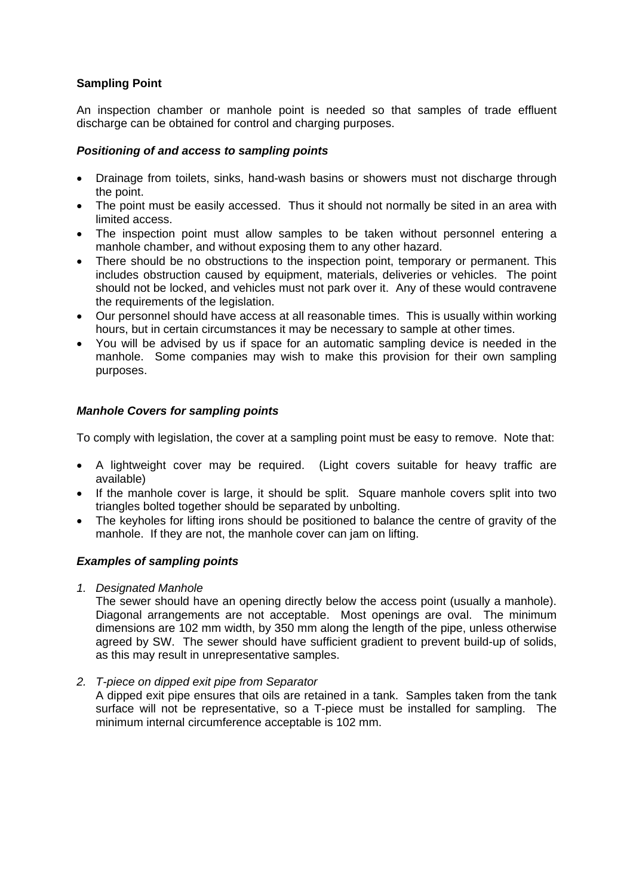# **Sampling Point**

An inspection chamber or manhole point is needed so that samples of trade effluent discharge can be obtained for control and charging purposes.

## *Positioning of and access to sampling points*

- Drainage from toilets, sinks, hand-wash basins or showers must not discharge through the point.
- The point must be easily accessed. Thus it should not normally be sited in an area with limited access.
- The inspection point must allow samples to be taken without personnel entering a manhole chamber, and without exposing them to any other hazard.
- There should be no obstructions to the inspection point, temporary or permanent. This includes obstruction caused by equipment, materials, deliveries or vehicles. The point should not be locked, and vehicles must not park over it. Any of these would contravene the requirements of the legislation.
- Our personnel should have access at all reasonable times. This is usually within working hours, but in certain circumstances it may be necessary to sample at other times.
- You will be advised by us if space for an automatic sampling device is needed in the manhole. Some companies may wish to make this provision for their own sampling purposes.

# *Manhole Covers for sampling points*

To comply with legislation, the cover at a sampling point must be easy to remove. Note that:

- A lightweight cover may be required. (Light covers suitable for heavy traffic are available)
- If the manhole cover is large, it should be split. Square manhole covers split into two triangles bolted together should be separated by unbolting.
- The keyholes for lifting irons should be positioned to balance the centre of gravity of the manhole. If they are not, the manhole cover can jam on lifting.

## *Examples of sampling points*

*1. Designated Manhole* 

The sewer should have an opening directly below the access point (usually a manhole). Diagonal arrangements are not acceptable. Most openings are oval. The minimum dimensions are 102 mm width, by 350 mm along the length of the pipe, unless otherwise agreed by SW. The sewer should have sufficient gradient to prevent build-up of solids, as this may result in unrepresentative samples.

*2. T-piece on dipped exit pipe from Separator* 

A dipped exit pipe ensures that oils are retained in a tank. Samples taken from the tank surface will not be representative, so a T-piece must be installed for sampling. The minimum internal circumference acceptable is 102 mm.